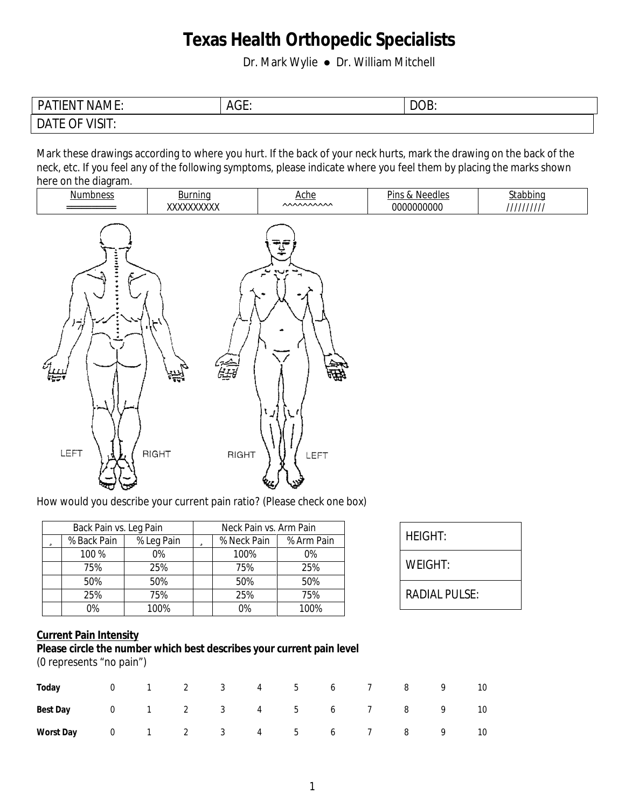Dr. Mark Wylie ● Dr. William Mitchell

| <b>PATIENT NAME:</b>  | AGE: | DOB: |
|-----------------------|------|------|
| <b>DATE OF VISIT:</b> |      |      |

Mark these drawings according to where you hurt. If the back of your neck hurts, mark the drawing on the back of the neck, etc. If you feel any of the following symptoms, please indicate where you feel them by placing the marks shown here on the diagram.



How would you describe your current pain ratio? (Please check one box)

|                      | <b>Neck Pain vs. Arm Pain</b> |             |  |            | <b>Back Pain vs. Leg Pain</b> |   |
|----------------------|-------------------------------|-------------|--|------------|-------------------------------|---|
| <b>HEIGHT:</b>       | % Arm Pain                    | % Neck Pain |  | % Leg Pain | % Back Pain                   | ü |
|                      | $0\%$                         | 100%        |  | $0\%$      | 100 %                         |   |
| <b>WEIGHT:</b>       | 25%                           | 75%         |  | 25%        | 75%                           |   |
|                      | 50%                           | 50%         |  | 50%        | 50%                           |   |
| <b>RADIAL PULSE:</b> | 75%                           | 25%         |  | 75%        | 25%                           |   |
|                      | 100%                          | 0%          |  | 100%       | 0%                            |   |

| <b>HEIGHT:</b> |  |
|----------------|--|
| WEIGHT:        |  |
| RADIAL PHISE·  |  |

#### **Current Pain Intensity**

#### **Please circle the number which best describes your current pain level** (0 represents "no pain")

| Today 0 1 2 3 4 5 6 7 8 9 10           |  |  |  |  |  |  |
|----------------------------------------|--|--|--|--|--|--|
| <b>Best Day</b> 0 1 2 3 4 5 6 7 8 9 10 |  |  |  |  |  |  |
| Worst Day 0 1 2 3 4 5 6 7 8 9 10       |  |  |  |  |  |  |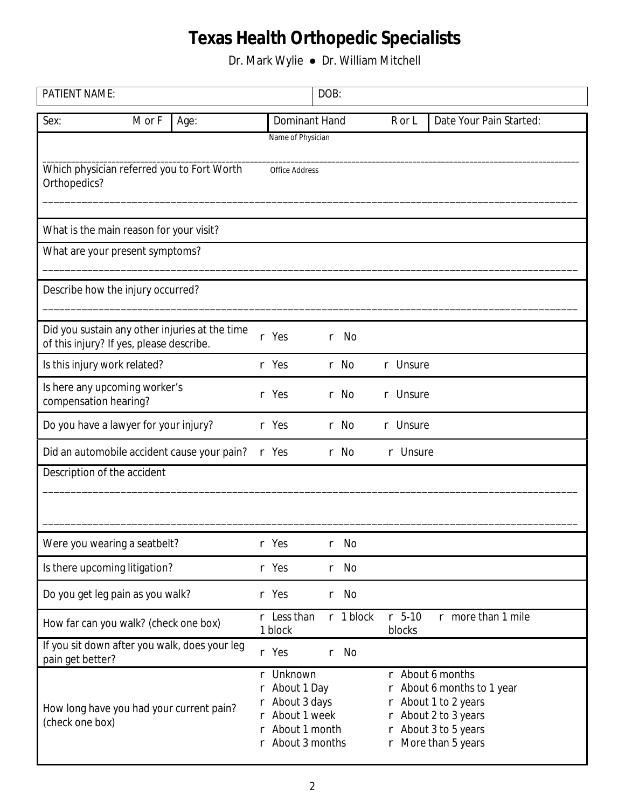| <b>PATIENT NAME:</b>         |                                          |                                                |        |                                                                                                                  | DOB: |             |    |                    |                                                                                                                                              |  |
|------------------------------|------------------------------------------|------------------------------------------------|--------|------------------------------------------------------------------------------------------------------------------|------|-------------|----|--------------------|----------------------------------------------------------------------------------------------------------------------------------------------|--|
| Sex:                         | M or F                                   | Age:                                           |        | <b>Dominant Hand</b>                                                                                             |      |             |    | R or L             | <b>Date Your Pain Started:</b>                                                                                                               |  |
|                              |                                          |                                                |        | <b>Name of Physician</b>                                                                                         |      |             |    |                    |                                                                                                                                              |  |
| Orthopedics?                 |                                          | Which physician referred you to Fort Worth     |        | <b>Office Address</b>                                                                                            |      |             |    |                    |                                                                                                                                              |  |
|                              | What is the main reason for your visit?  |                                                |        |                                                                                                                  |      |             |    |                    |                                                                                                                                              |  |
|                              | What are your present symptoms?          |                                                |        |                                                                                                                  |      |             |    |                    |                                                                                                                                              |  |
|                              | Describe how the injury occurred?        |                                                |        |                                                                                                                  |      |             |    |                    |                                                                                                                                              |  |
|                              | of this injury? If yes, please describe. | Did you sustain any other injuries at the time |        | r Yes                                                                                                            | r    | No          |    |                    |                                                                                                                                              |  |
| Is this injury work related? |                                          |                                                |        | r Yes                                                                                                            |      | r No        |    | r Unsure           |                                                                                                                                              |  |
| compensation hearing?        | Is here any upcoming worker's            |                                                | r      | Yes                                                                                                              |      | r No        | r. | <b>Unsure</b>      |                                                                                                                                              |  |
|                              | Do you have a lawyer for your injury?    |                                                |        | r Yes                                                                                                            |      | r No        | r  | <b>Unsure</b>      |                                                                                                                                              |  |
|                              |                                          | Did an automobile accident cause your pain?    |        | r Yes                                                                                                            |      | r No        |    | r Unsure           |                                                                                                                                              |  |
|                              | <b>Description of the accident</b>       |                                                |        |                                                                                                                  |      |             |    |                    |                                                                                                                                              |  |
|                              |                                          |                                                |        |                                                                                                                  |      |             |    |                    |                                                                                                                                              |  |
|                              | Were you wearing a seatbelt?             |                                                |        | Yes                                                                                                              |      | No          |    |                    |                                                                                                                                              |  |
|                              | Is there upcoming litigation?            |                                                |        | r Yes                                                                                                            | r    | No          |    |                    |                                                                                                                                              |  |
|                              | Do you get leg pain as you walk?         |                                                |        | r Yes                                                                                                            |      | r No        |    |                    |                                                                                                                                              |  |
|                              | How far can you walk? (check one box)    |                                                |        | r Less than<br>1 block                                                                                           |      | $r$ 1 block |    | $r$ 5-10<br>blocks | r more than 1 mile                                                                                                                           |  |
| pain get better?             |                                          | If you sit down after you walk, does your leg  |        | r Yes                                                                                                            | r    | <b>No</b>   |    |                    |                                                                                                                                              |  |
| (check one box)              |                                          | How long have you had your current pain?       | r<br>r | r Unknown<br><b>About 1 Day</b><br><b>About 3 days</b><br><b>About 1 week</b><br>About 1 month<br>About 3 months |      |             | r  |                    | r <b>About 6 months</b><br>About 6 months to 1 year<br>About 1 to 2 years<br>About 2 to 3 years<br>About 3 to 5 years<br>r More than 5 years |  |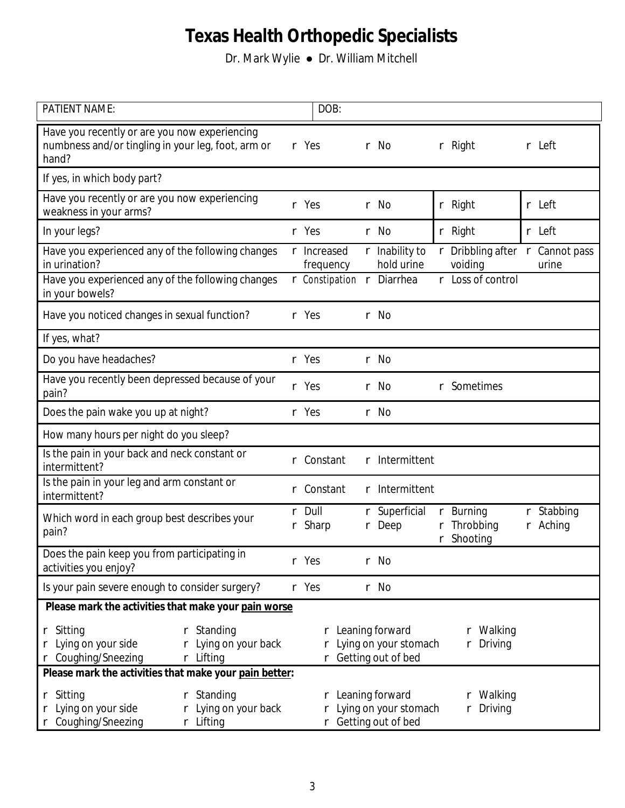| <b>PATIENT NAME:</b>                                                                                                        |   | DOB:                            |   |                                                                      |             |                                                       |              |                                  |
|-----------------------------------------------------------------------------------------------------------------------------|---|---------------------------------|---|----------------------------------------------------------------------|-------------|-------------------------------------------------------|--------------|----------------------------------|
| Have you recently or are you now experiencing<br>numbness and/or tingling in your leg, foot, arm or<br>hand?                |   | r Yes                           |   | r No                                                                 |             | $r$ Right                                             |              | r Left                           |
| If yes, in which body part?                                                                                                 |   |                                 |   |                                                                      |             |                                                       |              |                                  |
| Have you recently or are you now experiencing<br>weakness in your arms?                                                     |   | r Yes                           |   | r No                                                                 |             | r Right                                               |              | r Left                           |
| In your legs?                                                                                                               |   | r Yes                           |   | r No                                                                 |             | r Right                                               |              | r Left                           |
| Have you experienced any of the following changes<br>in urination?                                                          |   | r <b>Increased</b><br>frequency |   | r <b>Inability to</b><br>hold urine                                  | r           | Dribbling after $\Gamma$ Cannot pass<br>voiding       |              | urine                            |
| Have you experienced any of the following changes<br>in your bowels?                                                        |   | r Constipation r Diarrhea       |   |                                                                      | r           | Loss of control                                       |              |                                  |
| Have you noticed changes in sexual function?                                                                                |   | r Yes                           |   | r No                                                                 |             |                                                       |              |                                  |
| If yes, what?                                                                                                               |   |                                 |   |                                                                      |             |                                                       |              |                                  |
| Do you have headaches?                                                                                                      |   | r Yes                           |   | r No                                                                 |             |                                                       |              |                                  |
| Have you recently been depressed because of your<br>pain?                                                                   |   | r Yes                           | r | No                                                                   | r           | <b>Sometimes</b>                                      |              |                                  |
| Does the pain wake you up at night?                                                                                         |   | r Yes                           |   | r No                                                                 |             |                                                       |              |                                  |
| How many hours per night do you sleep?                                                                                      |   |                                 |   |                                                                      |             |                                                       |              |                                  |
| Is the pain in your back and neck constant or<br>intermittent?                                                              |   | Constant                        |   | <b>Intermittent</b>                                                  |             |                                                       |              |                                  |
| Is the pain in your leg and arm constant or<br>intermittent?                                                                | r | <b>Constant</b>                 | r | <b>Intermittent</b>                                                  |             |                                                       |              |                                  |
| Which word in each group best describes your<br>pain?                                                                       | r | r Dull<br><b>Sharp</b>          | r | <b>Superficial</b><br>Deep                                           | r<br>r<br>r | <b>Burning</b><br><b>Throbbing</b><br><b>Shooting</b> | $r_{-}$<br>r | <b>Stabbing</b><br><b>Aching</b> |
| Does the pain keep you from participating in<br>activities you enjoy?                                                       |   | r Yes                           |   | r No                                                                 |             |                                                       |              |                                  |
| Is your pain severe enough to consider surgery?                                                                             |   | r Yes                           |   | r No                                                                 |             |                                                       |              |                                  |
| Please mark the activities that make your pain worse                                                                        |   |                                 |   |                                                                      |             |                                                       |              |                                  |
| r Sitting<br><b>Standing</b><br>r<br>Lying on your side<br>Lying on your back<br><b>Coughing/Sneezing</b><br>r Lifting<br>r |   |                                 |   | r Leaning forward<br>r Lying on your stomach<br>r Getting out of bed |             | r Walking<br>r Driving                                |              |                                  |
| Please mark the activities that make your pain better:                                                                      |   |                                 |   |                                                                      |             |                                                       |              |                                  |
| <b>Standing</b><br>r Sitting<br>r<br>Lying on your side<br>Lying on your back<br><b>Coughing/Sneezing</b><br>r Lifting      |   |                                 |   | r Leaning forward<br>r Lying on your stomach<br>r Getting out of bed |             | r Walking<br>r Driving                                |              |                                  |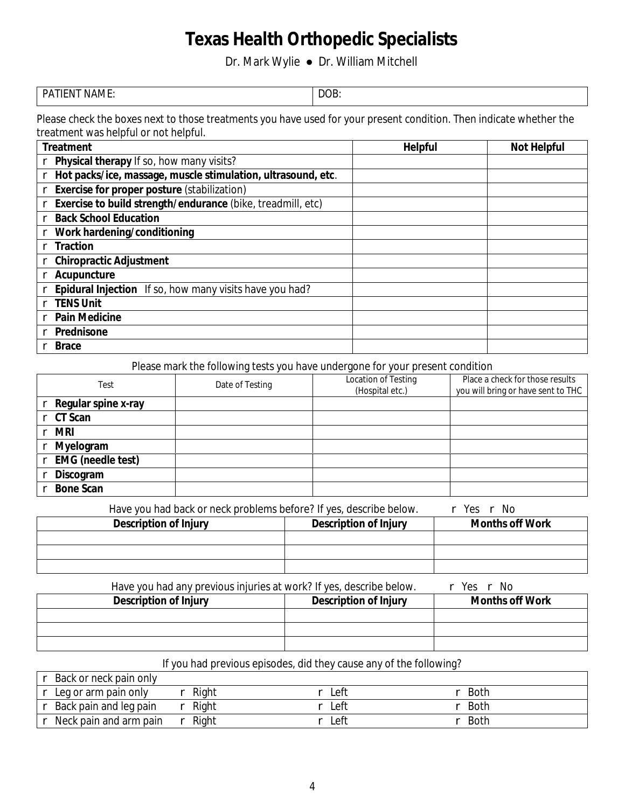Dr. Mark Wylie ● Dr. William Mitchell

| <b>PATIENT NAME:</b> | DOB. |
|----------------------|------|
|                      |      |

Please check the boxes next to those treatments you have used for your present condition. Then indicate whether the treatment was helpful or not helpful.

| <b>Treatment</b>                                                   | <b>Helpful</b> | <b>Not Helpful</b> |
|--------------------------------------------------------------------|----------------|--------------------|
| Physical therapy If so, how many visits?                           |                |                    |
| Hot packs/ice, massage, muscle stimulation, ultrasound, etc.       |                |                    |
| <b>Exercise for proper posture (stabilization)</b>                 |                |                    |
| <b>Exercise to build strength/endurance (bike, treadmill, etc)</b> |                |                    |
| <b>Back School Education</b><br>r                                  |                |                    |
| Work hardening/conditioning                                        |                |                    |
| <b>Traction</b>                                                    |                |                    |
| <b>Chiropractic Adjustment</b>                                     |                |                    |
| <b>Acupuncture</b>                                                 |                |                    |
| <b>Epidural Injection</b> If so, how many visits have you had?     |                |                    |
| <b>TENS Unit</b>                                                   |                |                    |
| <b>Pain Medicine</b>                                               |                |                    |
| <b>Prednisone</b>                                                  |                |                    |
| <b>Brace</b>                                                       |                |                    |

Please mark the following tests you have undergone for your present condition

| <b>Test</b>              | <b>Date of Testing</b> | <b>Location of Testing</b><br>(Hospital etc.) | <b>Place a check for those results</b><br>you will bring or have sent to THC |
|--------------------------|------------------------|-----------------------------------------------|------------------------------------------------------------------------------|
| Regular spine x-ray      |                        |                                               |                                                                              |
| <b>CT</b> Scan           |                        |                                               |                                                                              |
| <b>MR</b><br>r.          |                        |                                               |                                                                              |
| <b>Myelogram</b><br>r    |                        |                                               |                                                                              |
| <b>EMG</b> (needle test) |                        |                                               |                                                                              |
| Discogram                |                        |                                               |                                                                              |
| <b>Bone Scan</b>         |                        |                                               |                                                                              |

Have you had back or neck problems before? If yes, describe below.  $\Gamma$  Yes r No

| <b>Description of Injury</b> | <b>Description of Injury</b> | <b>Months off Work</b> |
|------------------------------|------------------------------|------------------------|
|                              |                              |                        |
|                              |                              |                        |
|                              |                              |                        |

Have you had any previous injuries at work? If yes, describe below.  $\Gamma$  Yes r No

| <b>Description of Injury</b> | <b>Description of Injury</b> | <b>Months off Work</b> |
|------------------------------|------------------------------|------------------------|
|                              |                              |                        |
|                              |                              |                        |
|                              |                              |                        |

### If you had previous episodes, did they cause any of the following?

| r <b>Back or neck pain only</b> |       |      |             |  |
|---------------------------------|-------|------|-------------|--|
| $\Gamma$ Leg or arm pain only   | Right | Left | <b>Both</b> |  |
| $r$ Back pain and leg pain      | Right | Left | $r$ Both    |  |
| $r$ Neck pain and arm pain      | Right | Left | <b>Both</b> |  |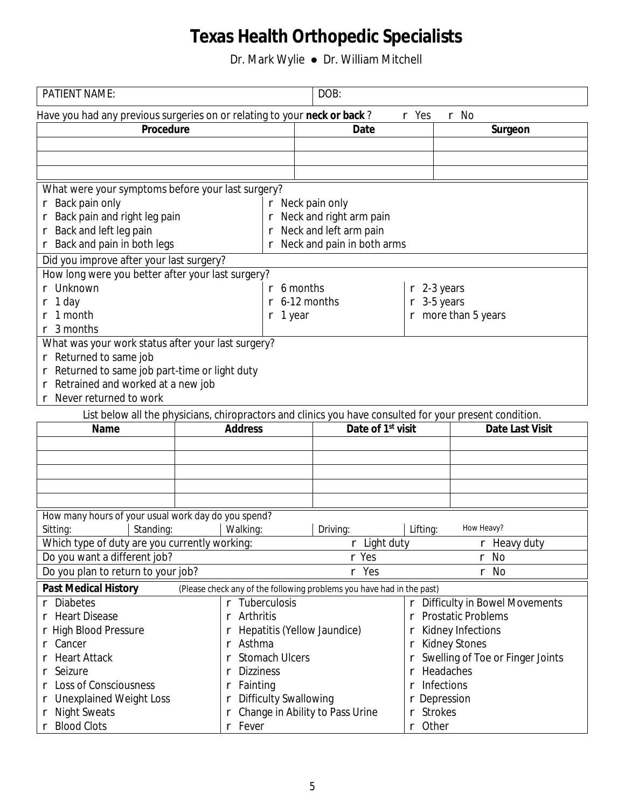| <b>PATIENT NAME:</b>                                                                                    |                                   | DOB:                                                                  |                                     |                                         |
|---------------------------------------------------------------------------------------------------------|-----------------------------------|-----------------------------------------------------------------------|-------------------------------------|-----------------------------------------|
| Have you had any previous surgeries on or relating to your neck or back?<br>r Yes<br>r No               |                                   |                                                                       |                                     |                                         |
| <b>Procedure</b>                                                                                        |                                   | <b>Date</b>                                                           |                                     | Surgeon                                 |
|                                                                                                         |                                   |                                                                       |                                     |                                         |
|                                                                                                         |                                   |                                                                       |                                     |                                         |
|                                                                                                         |                                   |                                                                       |                                     |                                         |
| What were your symptoms before your last surgery?                                                       |                                   |                                                                       |                                     |                                         |
| r <b>Back pain only</b>                                                                                 |                                   | r Neck pain only                                                      |                                     |                                         |
| Back pain and right leg pain                                                                            |                                   | r Neck and right arm pain                                             |                                     |                                         |
| <b>Back and left leg pain</b>                                                                           |                                   | r Neck and left arm pain                                              |                                     |                                         |
| <b>Back and pain in both legs</b>                                                                       |                                   | Neck and pain in both arms                                            |                                     |                                         |
| Did you improve after your last surgery?                                                                |                                   |                                                                       |                                     |                                         |
| How long were you better after your last surgery?                                                       |                                   |                                                                       |                                     |                                         |
| <b>Unknown</b>                                                                                          |                                   | $r$ 6 months                                                          | $r$ 2-3 years                       |                                         |
| 1 day                                                                                                   |                                   | 6-12 months                                                           | 3-5 years                           |                                         |
| 1 month                                                                                                 | r                                 |                                                                       |                                     |                                         |
|                                                                                                         | $r1$ year                         |                                                                       |                                     | $r$ more than 5 years                   |
| 3 months                                                                                                |                                   |                                                                       |                                     |                                         |
| What was your work status after your last surgery?                                                      |                                   |                                                                       |                                     |                                         |
| r Returned to same job                                                                                  |                                   |                                                                       |                                     |                                         |
| Returned to same job part-time or light duty                                                            |                                   |                                                                       |                                     |                                         |
| Retrained and worked at a new job                                                                       |                                   |                                                                       |                                     |                                         |
| <b>Never returned to work</b>                                                                           |                                   |                                                                       |                                     |                                         |
| List below all the physicians, chiropractors and clinics you have consulted for your present condition. |                                   |                                                                       |                                     |                                         |
|                                                                                                         |                                   |                                                                       |                                     |                                         |
| <b>Name</b>                                                                                             | <b>Address</b>                    | Date of 1 <sup>st</sup> visit                                         |                                     | <b>Date Last Visit</b>                  |
|                                                                                                         |                                   |                                                                       |                                     |                                         |
|                                                                                                         |                                   |                                                                       |                                     |                                         |
|                                                                                                         |                                   |                                                                       |                                     |                                         |
|                                                                                                         |                                   |                                                                       |                                     |                                         |
|                                                                                                         |                                   |                                                                       |                                     |                                         |
|                                                                                                         |                                   |                                                                       |                                     |                                         |
| How many hours of your usual work day do you spend?                                                     |                                   |                                                                       |                                     |                                         |
| <b>Standing:</b><br>Sitting:                                                                            | <b>Walking:</b>                   | Driving:                                                              | Lifting:                            | <b>How Heavy?</b>                       |
| Which type of duty are you currently working:                                                           |                                   | r Light duty                                                          |                                     | $r$ Heavy duty                          |
| Do you want a different job?                                                                            |                                   | r Yes                                                                 |                                     | No<br>r                                 |
| Do you plan to return to your job?                                                                      |                                   | r Yes                                                                 |                                     | r No                                    |
| <b>Past Medical History</b>                                                                             |                                   | (Please check any of the following problems you have had in the past) |                                     |                                         |
| <b>Diabetes</b>                                                                                         | r Tuberculosis                    |                                                                       |                                     | r Difficulty in Bowel Movements         |
| <b>Heart Disease</b>                                                                                    | <b>Arthritis</b><br>r             |                                                                       | r                                   | <b>Prostatic Problems</b>               |
| <b>High Blood Pressure</b>                                                                              |                                   | <b>Hepatitis (Yellow Jaundice)</b>                                    |                                     | <b>Kidney Infections</b>                |
| Cancer                                                                                                  | <b>Asthma</b><br>r                |                                                                       | r                                   | <b>Kidney Stones</b>                    |
| <b>Heart Attack</b>                                                                                     | <b>Stomach Ulcers</b>             |                                                                       |                                     | <b>Swelling of Toe or Finger Joints</b> |
| <b>Seizure</b>                                                                                          | <b>Dizziness</b>                  |                                                                       |                                     | <b>Headaches</b>                        |
|                                                                                                         | r                                 |                                                                       |                                     |                                         |
| <b>Loss of Consciousness</b>                                                                            | <b>Fainting</b>                   |                                                                       | <b>Infections</b>                   |                                         |
| <b>Unexplained Weight Loss</b><br>r<br><b>Night Sweats</b><br>r                                         | <b>Difficulty Swallowing</b><br>r | <b>Change in Ability to Pass Urine</b>                                | r Depression<br><b>Strokes</b><br>r |                                         |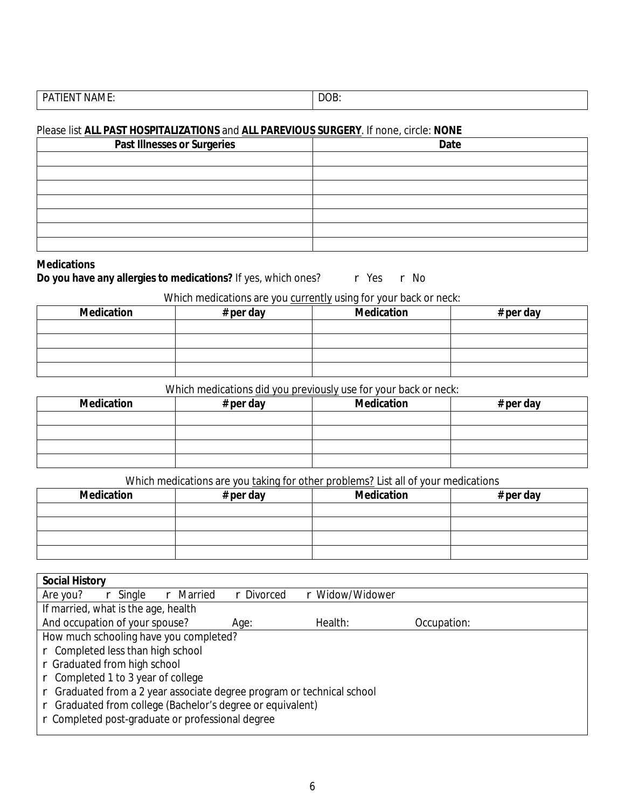| .<br>PА<br>-- | OB<br>$   -$ |
|---------------|--------------|
|               |              |

#### Please list **ALL PAST HOSPITALIZATIONS** and **ALL PAREVIOUS SURGERY**. If none, circle: NONE

| <b>Past Illnesses or Surgeries</b> | <b>Date</b> |
|------------------------------------|-------------|
|                                    |             |
|                                    |             |
|                                    |             |
|                                    |             |
|                                    |             |
|                                    |             |
|                                    |             |

#### **Medications**

Do you have any allergies to medications? If yes, which ones? r Yes r No

#### Which medications are you currently using for your back or neck:

| <b>Medication</b> | # per day | <b>Medication</b> | # per day |
|-------------------|-----------|-------------------|-----------|
|                   |           |                   |           |
|                   |           |                   |           |
|                   |           |                   |           |
|                   |           |                   |           |

#### Which medications did you previously use for your back or neck:

| <b>Medication</b> | # per day | <b>Medication</b> | # per day |
|-------------------|-----------|-------------------|-----------|
|                   |           |                   |           |
|                   |           |                   |           |
|                   |           |                   |           |
|                   |           |                   |           |

#### Which medications are you taking for other problems? List all of your medications

| <b>Medication</b> | $#$ per day | <b>Medication</b> | # per day |
|-------------------|-------------|-------------------|-----------|
|                   |             |                   |           |
|                   |             |                   |           |
|                   |             |                   |           |
|                   |             |                   |           |

| <b>Social History</b>                                                |                 |                 |             |  |
|----------------------------------------------------------------------|-----------------|-----------------|-------------|--|
| <b>Married</b><br>Are you?<br>Single<br>r                            | <b>Divorced</b> | r Widow/Widower |             |  |
| If married, what is the age, health                                  |                 |                 |             |  |
| And occupation of your spouse?                                       | Age:            | <b>Health:</b>  | Occupation: |  |
| How much schooling have you completed?                               |                 |                 |             |  |
| r Completed less than high school                                    |                 |                 |             |  |
| r Graduated from high school                                         |                 |                 |             |  |
| Completed 1 to 3 year of college                                     |                 |                 |             |  |
| Graduated from a 2 year associate degree program or technical school |                 |                 |             |  |
| Graduated from college (Bachelor's degree or equivalent)             |                 |                 |             |  |
| r Completed post-graduate or professional degree                     |                 |                 |             |  |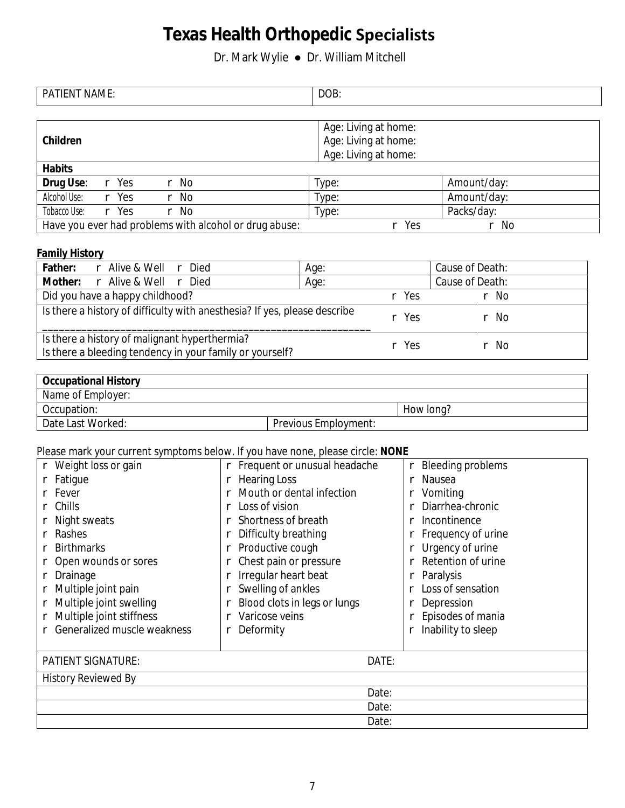Dr. Mark Wylie ● Dr. William Mitchell

| <b>PATIENT NAME:</b>                                   | DOB:                                         |             |
|--------------------------------------------------------|----------------------------------------------|-------------|
| <b>Children</b>                                        | Age: Living at home:<br>Age: Living at home: |             |
| <b>Habits</b>                                          | Age: Living at home:                         |             |
| <b>Drug Use:</b><br>r Yes<br>r No                      | Type:                                        | Amount/day: |
| <b>Alcohol Use:</b><br>r Yes<br>r No                   | Type:                                        | Amount/day: |
| <b>Tobacco Use:</b><br>r Yes<br>r No                   | Type:                                        | Packs/day:  |
| Have you ever had problems with alcohol or drug abuse: | Yes<br>r                                     | r No        |

#### **Family History**

| <b>Father:</b><br>r Alive & Well r Died                                                                   | Age:               | <b>Cause of Death:</b> |
|-----------------------------------------------------------------------------------------------------------|--------------------|------------------------|
| <b>Mother:</b> r Alive & Well r Died                                                                      | Age:               | <b>Cause of Death:</b> |
| Did you have a happy childhood?                                                                           | r Yes              | r No                   |
| Is there a history of difficulty with an esthesia? If yes, please describe                                | $\mathbb{R}^n$ Yes | r No                   |
| Is there a history of malignant hyperthermia?<br>Is there a bleeding tendency in your family or yourself? | r Yes              | r No                   |

| <b>Occupational History</b> |                             |           |
|-----------------------------|-----------------------------|-----------|
| Name of Employer:           |                             |           |
| Occupation:                 |                             | How long? |
| <b>Date Last Worked:</b>    | <b>Previous Employment:</b> |           |

### Please mark your current symptoms below. If you have none, please circle: **NONE**

| r Weight loss or gain              |                            | r Frequent or unusual headache   | <b>Bleeding problems</b>  |  |  |
|------------------------------------|----------------------------|----------------------------------|---------------------------|--|--|
| r Fatigue                          | r Hearing Loss             |                                  | <b>Nausea</b>             |  |  |
| Fever                              |                            | <b>Mouth or dental infection</b> | <b>Vomiting</b>           |  |  |
| Chills                             | Loss of vision             |                                  | Diarrhea-chronic          |  |  |
| Night sweats                       | <b>Shortness of breath</b> |                                  | <b>Incontinence</b>       |  |  |
| <b>Rashes</b>                      | r Difficulty breathing     |                                  | <b>Frequency of urine</b> |  |  |
| <b>Birthmarks</b>                  | r Productive cough         |                                  | <b>Urgency of urine</b>   |  |  |
| Open wounds or sores               |                            | Chest pain or pressure           | <b>Retention of urine</b> |  |  |
| r Drainage                         | r Irregular heart beat     |                                  | <b>Paralysis</b>          |  |  |
| r Multiple joint pain              | <b>Swelling of ankles</b>  |                                  | <b>Loss of sensation</b>  |  |  |
| r Multiple joint swelling          |                            | r Blood clots in legs or lungs   | <b>Depression</b>         |  |  |
| r Multiple joint stiffness         | <b>Varicose veins</b>      |                                  | Episodes of mania         |  |  |
| <b>Generalized muscle weakness</b> | <b>Deformity</b>           |                                  | <b>Inability to sleep</b> |  |  |
|                                    |                            |                                  |                           |  |  |
| <b>PATIENT SIGNATURE:</b>          |                            | DATE:                            |                           |  |  |
| <b>History Reviewed By</b>         |                            |                                  |                           |  |  |
|                                    |                            | Date:                            |                           |  |  |
|                                    |                            | Date:                            |                           |  |  |
|                                    |                            | Date:                            |                           |  |  |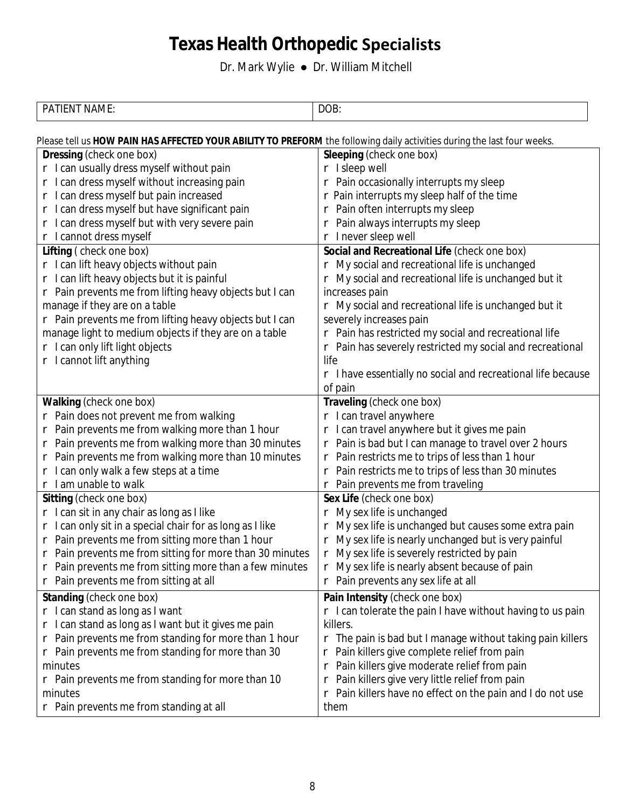| $\mathbf{v}$ , $\mathbf{v}$ , $\mathbf{v}$<br>PΔ<br>. N/I H *<br>יי | $\bf{D}$<br>ww. |
|---------------------------------------------------------------------|-----------------|
|                                                                     |                 |

| Please tell us HOW PAIN HAS AFFECTED YOUR ABILITY TO PREFORM the following daily activities during the last four weeks. |                                                                     |  |  |  |  |
|-------------------------------------------------------------------------------------------------------------------------|---------------------------------------------------------------------|--|--|--|--|
| <b>Dressing (check one box)</b>                                                                                         | <b>Sleeping (check one box)</b>                                     |  |  |  |  |
| r I can usually dress myself without pain                                                                               | r Isleep well                                                       |  |  |  |  |
| r I can dress myself without increasing pain                                                                            | r Pain occasionally interrupts my sleep                             |  |  |  |  |
| r I can dress myself but pain increased                                                                                 | $\Gamma$ Pain interrupts my sleep half of the time                  |  |  |  |  |
| r I can dress myself but have significant pain                                                                          | r Pain often interrupts my sleep                                    |  |  |  |  |
| r I can dress myself but with very severe pain                                                                          | Pain always interrupts my sleep                                     |  |  |  |  |
| r I cannot dress myself                                                                                                 | r Inever sleep well                                                 |  |  |  |  |
| Lifting (check one box)                                                                                                 | Social and Recreational Life (check one box)                        |  |  |  |  |
| r I can lift heavy objects without pain                                                                                 | n My social and recreational life is unchanged                      |  |  |  |  |
| r I can lift heavy objects but it is painful                                                                            | My social and recreational life is unchanged but it                 |  |  |  |  |
| r Pain prevents me from lifting heavy objects but I can                                                                 | increases pain                                                      |  |  |  |  |
| manage if they are on a table                                                                                           | $r$ My social and recreational life is unchanged but it             |  |  |  |  |
| r Pain prevents me from lifting heavy objects but I can                                                                 | severely increases pain                                             |  |  |  |  |
| manage light to medium objects if they are on a table                                                                   | r Pain has restricted my social and recreational life               |  |  |  |  |
| r I can only lift light objects                                                                                         | $r$ Pain has severely restricted my social and recreational         |  |  |  |  |
| r I cannot lift anything                                                                                                | life                                                                |  |  |  |  |
|                                                                                                                         | $\Gamma$ I have essentially no social and recreational life because |  |  |  |  |
|                                                                                                                         | of pain                                                             |  |  |  |  |
| <b>Walking (check one box)</b>                                                                                          | <b>Traveling (check one box)</b>                                    |  |  |  |  |
| r Pain does not prevent me from walking                                                                                 | r I can travel anywhere                                             |  |  |  |  |
| Pain prevents me from walking more than 1 hour<br>r                                                                     | r I can travel anywhere but it gives me pain                        |  |  |  |  |
| Pain prevents me from walking more than 30 minutes<br>r                                                                 | r Pain is bad but I can manage to travel over 2 hours               |  |  |  |  |
| Pain prevents me from walking more than 10 minutes<br>r                                                                 | r Pain restricts me to trips of less than 1 hour                    |  |  |  |  |
| can only walk a few steps at a time                                                                                     | Pain restricts me to trips of less than 30 minutes                  |  |  |  |  |
| r I am unable to walk                                                                                                   | Pain prevents me from traveling<br>r                                |  |  |  |  |
| <b>Sitting (check one box)</b>                                                                                          | Sex Life (check one box)                                            |  |  |  |  |
| r I can sit in any chair as long as I like                                                                              | My sex life is unchanged                                            |  |  |  |  |
| can only sit in a special chair for as long as I like<br>rI                                                             | My sex life is unchanged but causes some extra pain<br>r            |  |  |  |  |
| r Pain prevents me from sitting more than 1 hour                                                                        | My sex life is nearly unchanged but is very painful<br>r            |  |  |  |  |
| Pain prevents me from sitting for more than 30 minutes<br>r.                                                            | My sex life is severely restricted by pain<br>r                     |  |  |  |  |
| Pain prevents me from sitting more than a few minutes<br>r                                                              | My sex life is nearly absent because of pain<br>r                   |  |  |  |  |
| r Pain prevents me from sitting at all                                                                                  | r Pain prevents any sex life at all                                 |  |  |  |  |
| <b>Standing (check one box)</b>                                                                                         | Pain Intensity (check one box)                                      |  |  |  |  |
| r I can stand as long as I want                                                                                         | $r$ I can tolerate the pain I have without having to us pain        |  |  |  |  |
| r I can stand as long as I want but it gives me pain                                                                    | killers.                                                            |  |  |  |  |
| $\Gamma$ Pain prevents me from standing for more than 1 hour                                                            | $\Gamma$ The pain is bad but I manage without taking pain killers   |  |  |  |  |
| $r$ Pain prevents me from standing for more than 30                                                                     | Pain killers give complete relief from pain                         |  |  |  |  |
| minutes                                                                                                                 | Pain killers give moderate relief from pain<br>r                    |  |  |  |  |
| $\Gamma$ Pain prevents me from standing for more than 10                                                                | Pain killers give very little relief from pain<br>r                 |  |  |  |  |
| minutes                                                                                                                 | r Pain killers have no effect on the pain and I do not use          |  |  |  |  |
| r Pain prevents me from standing at all                                                                                 | them                                                                |  |  |  |  |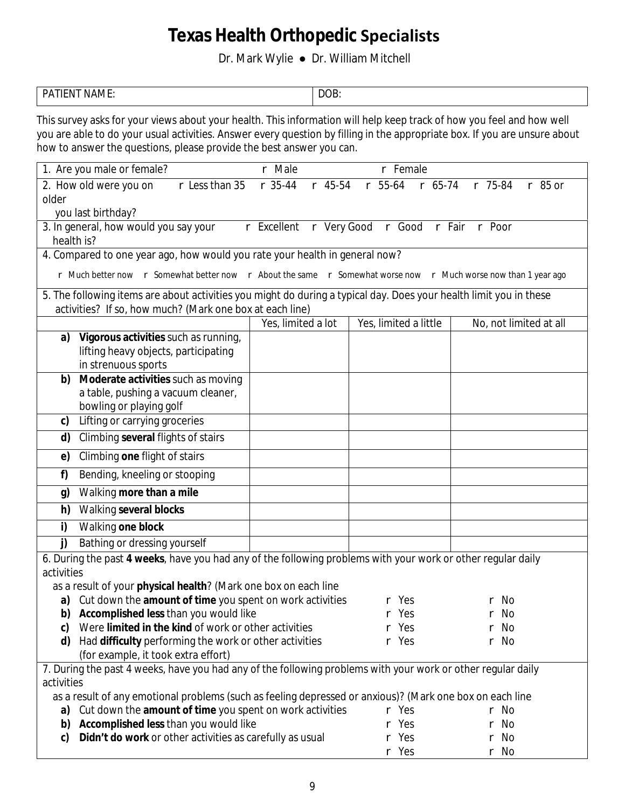Dr. Mark Wylie ● Dr. William Mitchell

| <b>*******</b><br>D۸<br>∣AM ŀ∙<br>the contract of the contract of the contract of the contract of the contract of the contract of the contract of | DOB.<br>$\sim$ $\sim$ $\sim$ $\sim$ $\sim$ |
|---------------------------------------------------------------------------------------------------------------------------------------------------|--------------------------------------------|
|                                                                                                                                                   |                                            |

This survey asks for your views about your health. This information will help keep track of how you feel and how well you are able to do your usual activities. Answer every question by filling in the appropriate box. If you are unsure about how to answer the questions, please provide the best answer you can.

|                                                                                                          | 1. Are you male or female?                                                                                         | r Male                 | r Female              |                        |  |  |  |  |  |
|----------------------------------------------------------------------------------------------------------|--------------------------------------------------------------------------------------------------------------------|------------------------|-----------------------|------------------------|--|--|--|--|--|
|                                                                                                          |                                                                                                                    |                        | $r$ 55-64             |                        |  |  |  |  |  |
|                                                                                                          | $r$ Less than 35<br>2. How old were you on                                                                         | $r$ 35-44<br>$r$ 45-54 | r 65-74               | $r$ 75-84<br>$r$ 85 or |  |  |  |  |  |
| older                                                                                                    |                                                                                                                    |                        |                       |                        |  |  |  |  |  |
| you last birthday?<br>r Excellent r Very Good r Good r Fair r Poor                                       |                                                                                                                    |                        |                       |                        |  |  |  |  |  |
|                                                                                                          | 3. In general, how would you say your                                                                              |                        |                       |                        |  |  |  |  |  |
|                                                                                                          | health is?                                                                                                         |                        |                       |                        |  |  |  |  |  |
|                                                                                                          | 4. Compared to one year ago, how would you rate your health in general now?                                        |                        |                       |                        |  |  |  |  |  |
|                                                                                                          | r Much better now r Somewhat better now r About the same r Somewhat worse now r Much worse now than 1 year ago     |                        |                       |                        |  |  |  |  |  |
|                                                                                                          | 5. The following items are about activities you might do during a typical day. Does your health limit you in these |                        |                       |                        |  |  |  |  |  |
|                                                                                                          | activities? If so, how much? (Mark one box at each line)                                                           |                        |                       |                        |  |  |  |  |  |
|                                                                                                          |                                                                                                                    | Yes, limited a lot     | Yes, limited a little | No, not limited at all |  |  |  |  |  |
| a)                                                                                                       | Vigorous activities such as running,                                                                               |                        |                       |                        |  |  |  |  |  |
|                                                                                                          | lifting heavy objects, participating                                                                               |                        |                       |                        |  |  |  |  |  |
|                                                                                                          | in strenuous sports                                                                                                |                        |                       |                        |  |  |  |  |  |
| b)                                                                                                       | Moderate activities such as moving                                                                                 |                        |                       |                        |  |  |  |  |  |
|                                                                                                          | a table, pushing a vacuum cleaner,                                                                                 |                        |                       |                        |  |  |  |  |  |
|                                                                                                          | bowling or playing golf                                                                                            |                        |                       |                        |  |  |  |  |  |
| c)                                                                                                       | <b>Lifting or carrying groceries</b>                                                                               |                        |                       |                        |  |  |  |  |  |
| d)                                                                                                       | <b>Climbing several flights of stairs</b>                                                                          |                        |                       |                        |  |  |  |  |  |
| e)                                                                                                       | <b>Climbing one flight of stairs</b>                                                                               |                        |                       |                        |  |  |  |  |  |
| f)                                                                                                       | <b>Bending, kneeling or stooping</b>                                                                               |                        |                       |                        |  |  |  |  |  |
| g)                                                                                                       | <b>Walking more than a mile</b>                                                                                    |                        |                       |                        |  |  |  |  |  |
| h)                                                                                                       | <b>Walking several blocks</b>                                                                                      |                        |                       |                        |  |  |  |  |  |
| i)                                                                                                       | <b>Walking one block</b>                                                                                           |                        |                       |                        |  |  |  |  |  |
| j)                                                                                                       | <b>Bathing or dressing yourself</b>                                                                                |                        |                       |                        |  |  |  |  |  |
|                                                                                                          | 6. During the past 4 weeks, have you had any of the following problems with your work or other regular daily       |                        |                       |                        |  |  |  |  |  |
| activities                                                                                               |                                                                                                                    |                        |                       |                        |  |  |  |  |  |
|                                                                                                          | as a result of your physical health? (Mark one box on each line                                                    |                        |                       |                        |  |  |  |  |  |
|                                                                                                          | a) Cut down the amount of time you spent on work activities                                                        |                        | r Yes                 | r No                   |  |  |  |  |  |
|                                                                                                          | <b>b)</b> Accomplished less than you would like                                                                    |                        | r Yes                 | r No                   |  |  |  |  |  |
| c)                                                                                                       | Were limited in the kind of work or other activities                                                               |                        | r Yes                 | r No                   |  |  |  |  |  |
| d)                                                                                                       | Had difficulty performing the work or other activities                                                             |                        | r Yes                 | r No                   |  |  |  |  |  |
|                                                                                                          | (for example, it took extra effort)                                                                                |                        |                       |                        |  |  |  |  |  |
|                                                                                                          | 7. During the past 4 weeks, have you had any of the following problems with your work or other regular daily       |                        |                       |                        |  |  |  |  |  |
| <i>activities</i>                                                                                        |                                                                                                                    |                        |                       |                        |  |  |  |  |  |
| as a result of any emotional problems (such as feeling depressed or anxious)? (Mark one box on each line |                                                                                                                    |                        |                       |                        |  |  |  |  |  |
| Cut down the amount of time you spent on work activities<br>r Yes<br>r No<br>a)                          |                                                                                                                    |                        |                       |                        |  |  |  |  |  |
| b)                                                                                                       | <b>Accomplished less than you would like</b>                                                                       | r Yes                  | r No                  |                        |  |  |  |  |  |
| c)                                                                                                       | Didn't do work or other activities as carefully as usual                                                           |                        | r Yes                 | r No                   |  |  |  |  |  |
|                                                                                                          |                                                                                                                    |                        | r Yes                 | r No                   |  |  |  |  |  |